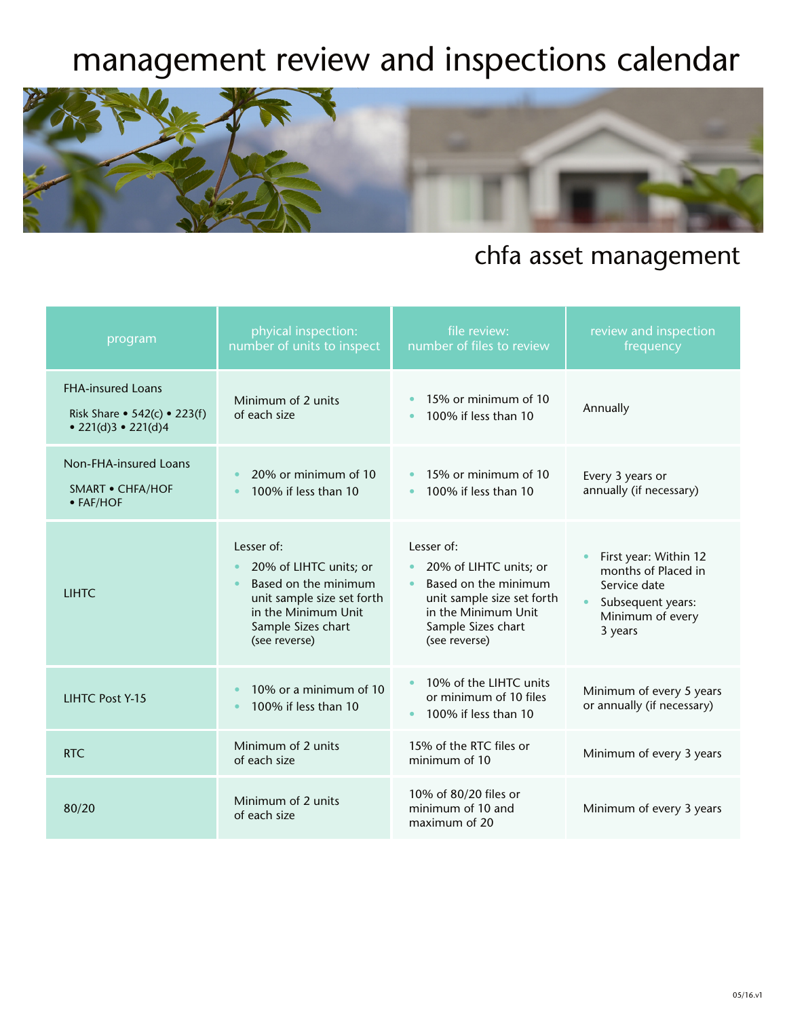## management review and inspections calendar



## chfa asset management

| program                                                                           | phyical inspection:<br>number of units to inspect                                                                                                                                  | file review:<br>number of files to review                                                                                                                             | review and inspection<br>frequency                                                                                            |
|-----------------------------------------------------------------------------------|------------------------------------------------------------------------------------------------------------------------------------------------------------------------------------|-----------------------------------------------------------------------------------------------------------------------------------------------------------------------|-------------------------------------------------------------------------------------------------------------------------------|
| <b>FHA-insured Loans</b><br>Risk Share • $542(c)$ • 223(f)<br>• 221(d)3 • 221(d)4 | Minimum of 2 units<br>of each size                                                                                                                                                 | 15% or minimum of 10<br>100% if less than 10                                                                                                                          | Annually                                                                                                                      |
| Non-FHA-insured Loans<br>SMART • CHFA/HOF<br>$\bullet$ FAF/HOF                    | 20% or minimum of 10<br>100% if less than 10<br>$\bullet$                                                                                                                          | 15% or minimum of 10<br>$\bullet$<br>100% if less than 10                                                                                                             | Every 3 years or<br>annually (if necessary)                                                                                   |
| <b>LIHTC</b>                                                                      | Lesser of:<br>20% of LIHTC units; or<br>$\bullet$<br>Based on the minimum<br>$\bullet$<br>unit sample size set forth<br>in the Minimum Unit<br>Sample Sizes chart<br>(see reverse) | Lesser of:<br>20% of LIHTC units; or<br>$\bullet$<br>Based on the minimum<br>unit sample size set forth<br>in the Minimum Unit<br>Sample Sizes chart<br>(see reverse) | First year: Within 12<br>months of Placed in<br>Service date<br>Subsequent years:<br>$\bullet$<br>Minimum of every<br>3 years |
| <b>LIHTC Post Y-15</b>                                                            | 10% or a minimum of 10<br>100% if less than 10<br>$\bullet$                                                                                                                        | 10% of the LIHTC units<br>$\bullet$<br>or minimum of 10 files<br>100% if less than 10                                                                                 | Minimum of every 5 years<br>or annually (if necessary)                                                                        |
| RTC.                                                                              | Minimum of 2 units<br>of each size                                                                                                                                                 | 15% of the RTC files or<br>minimum of 10                                                                                                                              | Minimum of every 3 years                                                                                                      |
| 80/20                                                                             | Minimum of 2 units<br>of each size                                                                                                                                                 | 10% of 80/20 files or<br>minimum of 10 and<br>maximum of 20                                                                                                           | Minimum of every 3 years                                                                                                      |